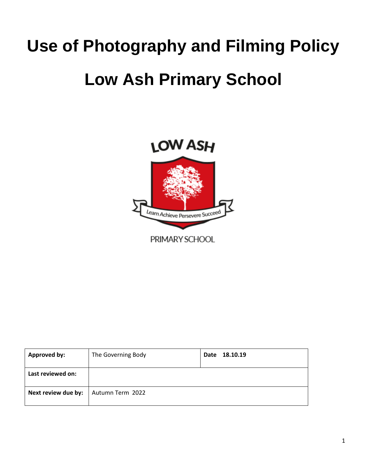# **Use of Photography and Filming Policy**

## **Low Ash Primary School**



| <b>Approved by:</b> | The Governing Body | 18.10.19<br>Date |
|---------------------|--------------------|------------------|
| Last reviewed on:   |                    |                  |
| Next review due by: | Autumn Term 2022   |                  |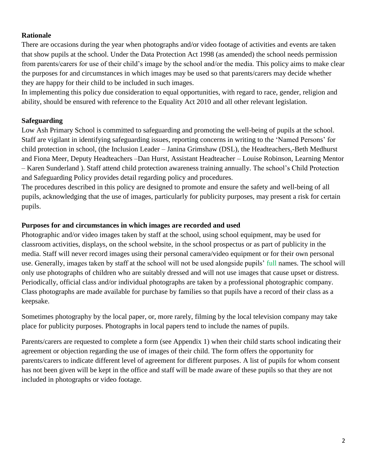### **Rationale**

There are occasions during the year when photographs and/or video footage of activities and events are taken that show pupils at the school. Under the Data Protection Act 1998 (as amended) the school needs permission from parents/carers for use of their child's image by the school and/or the media. This policy aims to make clear the purposes for and circumstances in which images may be used so that parents/carers may decide whether they are happy for their child to be included in such images.

In implementing this policy due consideration to equal opportunities, with regard to race, gender, religion and ability, should be ensured with reference to the Equality Act 2010 and all other relevant legislation.

## **Safeguarding**

Low Ash Primary School is committed to safeguarding and promoting the well-being of pupils at the school. Staff are vigilant in identifying safeguarding issues, reporting concerns in writing to the 'Named Persons' for child protection in school, (the Inclusion Leader – Janina Grimshaw (DSL), the Headteachers,-Beth Medhurst and Fiona Meer, Deputy Headteachers –Dan Hurst, Assistant Headteacher – Louise Robinson, Learning Mentor – Karen Sunderland ). Staff attend child protection awareness training annually. The school's Child Protection and Safeguarding Policy provides detail regarding policy and procedures.

The procedures described in this policy are designed to promote and ensure the safety and well-being of all pupils, acknowledging that the use of images, particularly for publicity purposes, may present a risk for certain pupils.

### **Purposes for and circumstances in which images are recorded and used**

Photographic and/or video images taken by staff at the school, using school equipment, may be used for classroom activities, displays, on the school website, in the school prospectus or as part of publicity in the media. Staff will never record images using their personal camera/video equipment or for their own personal use. Generally, images taken by staff at the school will not be used alongside pupils' full names. The school will only use photographs of children who are suitably dressed and will not use images that cause upset or distress. Periodically, official class and/or individual photographs are taken by a professional photographic company. Class photographs are made available for purchase by families so that pupils have a record of their class as a keepsake.

Sometimes photography by the local paper, or, more rarely, filming by the local television company may take place for publicity purposes. Photographs in local papers tend to include the names of pupils.

Parents/carers are requested to complete a form (see Appendix 1) when their child starts school indicating their agreement or objection regarding the use of images of their child. The form offers the opportunity for parents/carers to indicate different level of agreement for different purposes. A list of pupils for whom consent has not been given will be kept in the office and staff will be made aware of these pupils so that they are not included in photographs or video footage.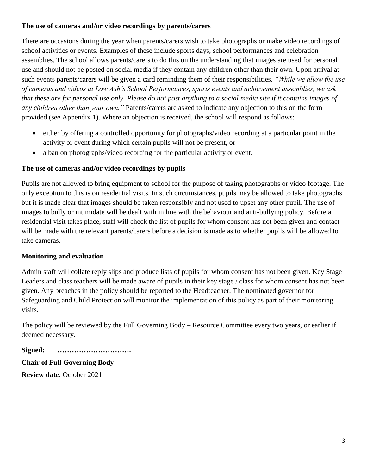## **The use of cameras and/or video recordings by parents/carers**

There are occasions during the year when parents/carers wish to take photographs or make video recordings of school activities or events. Examples of these include sports days, school performances and celebration assemblies. The school allows parents/carers to do this on the understanding that images are used for personal use and should not be posted on social media if they contain any children other than their own. Upon arrival at such events parents/carers will be given a card reminding them of their responsibilities. *"While we allow the use of cameras and videos at Low Ash's School Performances, sports events and achievement assemblies, we ask that these are for personal use only. Please do not post anything to a social media site if it contains images of any children other than your own."* Parents/carers are asked to indicate any objection to this on the form provided (see Appendix 1). Where an objection is received, the school will respond as follows:

- either by offering a controlled opportunity for photographs/video recording at a particular point in the activity or event during which certain pupils will not be present, or
- a ban on photographs/video recording for the particular activity or event.

## **The use of cameras and/or video recordings by pupils**

Pupils are not allowed to bring equipment to school for the purpose of taking photographs or video footage. The only exception to this is on residential visits. In such circumstances, pupils may be allowed to take photographs but it is made clear that images should be taken responsibly and not used to upset any other pupil. The use of images to bully or intimidate will be dealt with in line with the behaviour and anti-bullying policy. Before a residential visit takes place, staff will check the list of pupils for whom consent has not been given and contact will be made with the relevant parents/carers before a decision is made as to whether pupils will be allowed to take cameras.

### **Monitoring and evaluation**

Admin staff will collate reply slips and produce lists of pupils for whom consent has not been given. Key Stage Leaders and class teachers will be made aware of pupils in their key stage / class for whom consent has not been given. Any breaches in the policy should be reported to the Headteacher. The nominated governor for Safeguarding and Child Protection will monitor the implementation of this policy as part of their monitoring visits.

The policy will be reviewed by the Full Governing Body – Resource Committee every two years, or earlier if deemed necessary.

**Signed: ………………………….**

**Chair of Full Governing Body** 

**Review date**: October 2021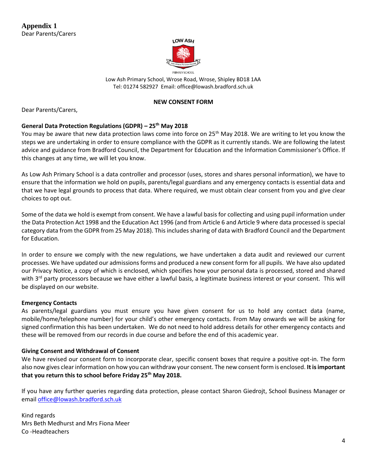

Low Ash Primary School, Wrose Road, Wrose, Shipley BD18 1AA Tel: 01274 582927 Email: office@lowash.bradford.sch.uk

#### **NEW CONSENT FORM**

Dear Parents/Carers,

#### **General Data Protection Regulations (GDPR) – 25th May 2018**

You may be aware that new data protection laws come into force on 25<sup>th</sup> May 2018. We are writing to let you know the steps we are undertaking in order to ensure compliance with the GDPR as it currently stands. We are following the latest advice and guidance from Bradford Council, the Department for Education and the Information Commissioner's Office. If this changes at any time, we will let you know.

As Low Ash Primary School is a data controller and processor (uses, stores and shares personal information), we have to ensure that the information we hold on pupils, parents/legal guardians and any emergency contacts is essential data and that we have legal grounds to process that data. Where required, we must obtain clear consent from you and give clear choices to opt out.

Some of the data we hold is exempt from consent. We have a lawful basis for collecting and using pupil information under the Data Protection Act 1998 and the Education Act 1996 (and from Article 6 and Article 9 where data processed is special category data from the GDPR from 25 May 2018). This includes sharing of data with Bradford Council and the Department for Education.

In order to ensure we comply with the new regulations, we have undertaken a data audit and reviewed our current processes. We have updated our admissions forms and produced a new consent form for all pupils. We have also updated our Privacy Notice, a copy of which is enclosed, which specifies how your personal data is processed, stored and shared with 3<sup>rd</sup> party processors because we have either a lawful basis, a legitimate business interest or your consent. This will be displayed on our website.

#### **Emergency Contacts**

As parents/legal guardians you must ensure you have given consent for us to hold any contact data (name, mobile/home/telephone number) for your child's other emergency contacts. From May onwards we will be asking for signed confirmation this has been undertaken. We do not need to hold address details for other emergency contacts and these will be removed from our records in due course and before the end of this academic year.

#### **Giving Consent and Withdrawal of Consent**

We have revised our consent form to incorporate clear, specific consent boxes that require a positive opt-in. The form also now gives clear information on how you can withdraw your consent. The new consent form is enclosed. **It is important that you return this to school before Friday 25th May 2018.**

If you have any further queries regarding data protection, please contact Sharon Giedrojt, School Business Manager or email [office@lowash.bradford.sch.uk](mailto:office@lowash.bradford.sch.uk)

Kind regards Mrs Beth Medhurst and Mrs Fiona Meer Co -Headteachers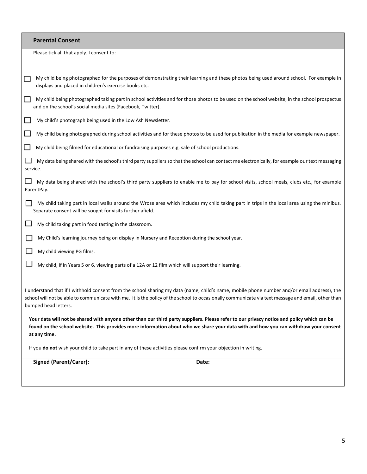|                                                                                                                                                                                                                                                                                                                          | <b>Parental Consent</b>                                                                                                                                                                                     |  |
|--------------------------------------------------------------------------------------------------------------------------------------------------------------------------------------------------------------------------------------------------------------------------------------------------------------------------|-------------------------------------------------------------------------------------------------------------------------------------------------------------------------------------------------------------|--|
|                                                                                                                                                                                                                                                                                                                          | Please tick all that apply. I consent to:                                                                                                                                                                   |  |
|                                                                                                                                                                                                                                                                                                                          |                                                                                                                                                                                                             |  |
|                                                                                                                                                                                                                                                                                                                          | My child being photographed for the purposes of demonstrating their learning and these photos being used around school. For example in<br>displays and placed in children's exercise books etc.             |  |
|                                                                                                                                                                                                                                                                                                                          | My child being photographed taking part in school activities and for those photos to be used on the school website, in the school prospectus<br>and on the school's social media sites (Facebook, Twitter). |  |
|                                                                                                                                                                                                                                                                                                                          | My child's photograph being used in the Low Ash Newsletter.                                                                                                                                                 |  |
|                                                                                                                                                                                                                                                                                                                          | My child being photographed during school activities and for these photos to be used for publication in the media for example newspaper.                                                                    |  |
|                                                                                                                                                                                                                                                                                                                          | My child being filmed for educational or fundraising purposes e.g. sale of school productions.                                                                                                              |  |
| service.                                                                                                                                                                                                                                                                                                                 | My data being shared with the school's third party suppliers so that the school can contact me electronically, for example our text messaging                                                               |  |
|                                                                                                                                                                                                                                                                                                                          | My data being shared with the school's third party suppliers to enable me to pay for school visits, school meals, clubs etc., for example<br>ParentPay.                                                     |  |
|                                                                                                                                                                                                                                                                                                                          | My child taking part in local walks around the Wrose area which includes my child taking part in trips in the local area using the minibus.<br>Separate consent will be sought for visits further afield.   |  |
|                                                                                                                                                                                                                                                                                                                          | My child taking part in food tasting in the classroom.                                                                                                                                                      |  |
|                                                                                                                                                                                                                                                                                                                          | My Child's learning journey being on display in Nursery and Reception during the school year.                                                                                                               |  |
|                                                                                                                                                                                                                                                                                                                          | My child viewing PG films.                                                                                                                                                                                  |  |
|                                                                                                                                                                                                                                                                                                                          | My child, if in Years 5 or 6, viewing parts of a 12A or 12 film which will support their learning.                                                                                                          |  |
| I understand that if I withhold consent from the school sharing my data (name, child's name, mobile phone number and/or email address), the<br>school will not be able to communicate with me. It is the policy of the school to occasionally communicate via text message and email, other than<br>bumped head letters. |                                                                                                                                                                                                             |  |
| Your data will not be shared with anyone other than our third party suppliers. Please refer to our privacy notice and policy which can be<br>found on the school website. This provides more information about who we share your data with and how you can withdraw your consent<br>at any time.                         |                                                                                                                                                                                                             |  |
| If you do not wish your child to take part in any of these activities please confirm your objection in writing.                                                                                                                                                                                                          |                                                                                                                                                                                                             |  |
| <b>Signed (Parent/Carer):</b><br>Date:                                                                                                                                                                                                                                                                                   |                                                                                                                                                                                                             |  |